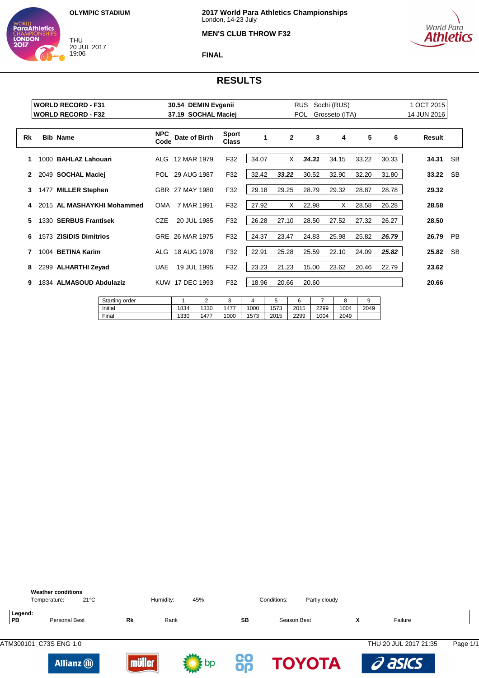THU 20 JUL 2017 19:06

WORLD<br>**ParaAthletics** 

**CHAMPION**<br>**LONDON** 



## **MEN'S CLUB THROW F32**



### **FINAL**

|    |      | <b>WORLD RECORD - F31</b>  |                    | 30.54 DEMIN Evgenii |                |       |              | <b>RUS</b> | Sochi (RUS)    |       |       | 1 OCT 2015  |           |
|----|------|----------------------------|--------------------|---------------------|----------------|-------|--------------|------------|----------------|-------|-------|-------------|-----------|
|    |      | <b>WORLD RECORD - F32</b>  |                    | 37.19 SOCHAL Maciej |                |       |              | POL        | Grosseto (ITA) |       |       | 14 JUN 2016 |           |
| Rk |      | <b>Bib Name</b>            | <b>NPC</b><br>Code | Date of Birth       | Sport<br>Class |       | $\mathbf{2}$ | 3          | 4              | 5     | 6     | Result      |           |
| 1  | 1000 | <b>BAHLAZ Lahouari</b>     | ALG                | 12 MAR 1979         | F32            | 34.07 | X.           | 34.31      | 34.15          | 33.22 | 30.33 | 34.31       | <b>SB</b> |
|    | 2049 | <b>SOCHAL Maciej</b>       | POL                | 29 AUG 1987         | F32            | 32.42 | 33.22        | 30.52      | 32.90          | 32.20 | 31.80 | 33.22       | <b>SB</b> |
| 3  |      | 1477 MILLER Stephen        |                    | GBR 27 MAY 1980     | F32            | 29.18 | 29.25        | 28.79      | 29.32          | 28.87 | 28.78 | 29.32       |           |
| 4  |      | 2015 AL MASHAYKHI Mohammed | <b>OMA</b>         | 7 MAR 1991          | F32            | 27.92 | X            | 22.98      | X              | 28.58 | 26.28 | 28.58       |           |
| 5  |      | 1330 SERBUS Frantisek      | CZE                | 20 JUL 1985         | F32            | 26.28 | 27.10        | 28.50      | 27.52          | 27.32 | 26.27 | 28.50       |           |
| 6  | 1573 | <b>ZISIDIS Dimitrios</b>   |                    | GRE 26 MAR 1975     | F32            | 24.37 | 23.47        | 24.83      | 25.98          | 25.82 | 26.79 | 26.79       | <b>PB</b> |
| 7  | 1004 | <b>BETINA Karim</b>        | ALG                | 18 AUG 1978         | F32            | 22.91 | 25.28        | 25.59      | 22.10          | 24.09 | 25.82 | 25.82       | <b>SB</b> |
| 8  |      | 2299 ALHARTHI Zeyad        | <b>UAE</b>         | 19 JUL 1995         | F32            | 23.23 | 21.23        | 15.00      | 23.62          | 20.46 | 22.79 | 23.62       |           |
| 9  |      | 1834 ALMASOUD Abdulaziz    |                    | KUW 17 DEC 1993     | F32            | 18.96 | 20.66        | 20.60      |                |       |       | 20.66       |           |

| Starting order |      | $\sqrt{2}$<br>- | $\sqrt{2}$<br>u |      |      |      |      |      |      |
|----------------|------|-----------------|-----------------|------|------|------|------|------|------|
| Initial        | 1834 | 1330            | 1477            | 1000 | 1573 | 2015 | 2299 | 1004 | 2049 |
| Final          | 1330 | 1477            | 1000            | 573  | 2015 | 2299 | 1004 | 2049 |      |
|                |      |                 |                 |      |      |      |      |      |      |

|                      | <b>Weather conditions</b><br>Temperature: | $21^{\circ}$ C |               | Humidity: | 45%  |                 | Conditions:   | Partly cloudy |                       |          |
|----------------------|-------------------------------------------|----------------|---------------|-----------|------|-----------------|---------------|---------------|-----------------------|----------|
| Legend:<br><b>PB</b> | Personal Best                             |                | Rk            | Rank      |      | SB              | Season Best   | X             | Failure               |          |
|                      | ATM300101 C73S ENG 1.0                    |                |               |           |      |                 |               |               | THU 20 JUL 2017 21:35 | Page 1/1 |
|                      | <b>Allianz</b> (ii)                       |                | .99<br>iüller |           | : bp | <u>CO</u><br>Op | <b>TOYOTA</b> |               | a asics               |          |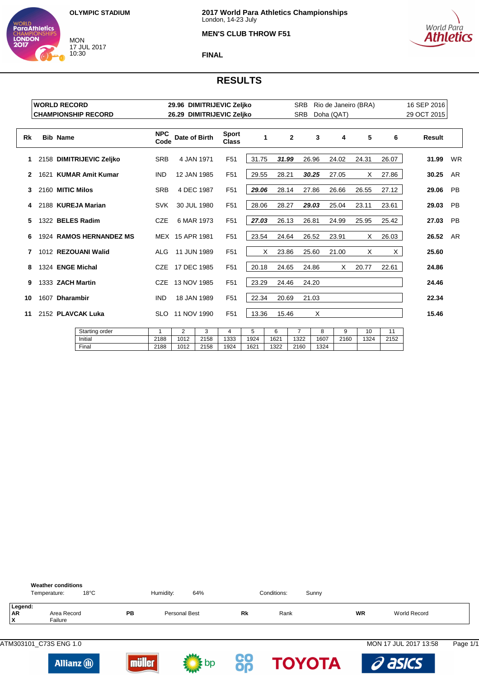MON 17 JUL 2017 10:30

WORLD<br>**ParaAthletics** 

**LONDON** 



#### **MEN'S CLUB THROW F51**



#### **FINAL**

|    | <b>WORLD RECORD</b> |                  |                            |                    |                 |             | 29.96 DIMITRIJEVIC Zeljko    |       |            | <b>SRB</b>     |       | Rio de Janeiro (BRA) |       |       | 16 SEP 2016 |           |
|----|---------------------|------------------|----------------------------|--------------------|-----------------|-------------|------------------------------|-------|------------|----------------|-------|----------------------|-------|-------|-------------|-----------|
|    |                     |                  | <b>CHAMPIONSHIP RECORD</b> |                    |                 |             | 26.29 DIMITRIJEVIC Zeljko    |       |            | <b>SRB</b>     |       | Doha (QAT)           |       |       | 29 OCT 2015 |           |
| Rk |                     | <b>Bib Name</b>  |                            | <b>NPC</b><br>Code | Date of Birth   |             | <b>Sport</b><br><b>Class</b> |       | 1          | $\mathbf{2}$   | 3     | 4                    | 5     | 6     | Result      |           |
| 1. |                     |                  | 2158 DIMITRIJEVIC Zeljko   | <b>SRB</b>         |                 | 4 JAN 1971  | F <sub>51</sub>              | 31.75 | 31.99      |                | 26.96 | 24.02                | 24.31 | 26.07 | 31.99       | <b>WR</b> |
| 2  |                     |                  | 1621 KUMAR Amit Kumar      | <b>IND</b>         | 12 JAN 1985     |             | F <sub>51</sub>              | 29.55 | 28.21      |                | 30.25 | 27.05                | Χ     | 27.86 | 30.25       | <b>AR</b> |
| 3  |                     | 2160 MITIC Milos |                            | <b>SRB</b>         |                 | 4 DEC 1987  | F <sub>51</sub>              | 29.06 | 28.14      |                | 27.86 | 26.66                | 26.55 | 27.12 | 29.06       | <b>PB</b> |
| 4  |                     |                  | 2188 KUREJA Marian         | <b>SVK</b>         |                 | 30 JUL 1980 | F <sub>51</sub>              | 28.06 | 28.27      |                | 29.03 | 25.04                | 23.11 | 23.61 | 29.03       | <b>PB</b> |
| 5  |                     |                  | 1322 BELES Radim           | <b>CZE</b>         |                 | 6 MAR 1973  | F <sub>51</sub>              | 27.03 | 26.13      |                | 26.81 | 24.99                | 25.95 | 25.42 | 27.03       | PB        |
| 6  |                     |                  | 1924 RAMOS HERNANDEZ MS    |                    | MEX 15 APR 1981 |             | F <sub>51</sub>              | 23.54 | 24.64      |                | 26.52 | 23.91                | Χ     | 26.03 | 26.52       | <b>AR</b> |
| 7  |                     |                  | 1012 REZOUANI Walid        | <b>ALG</b>         | 11 JUN 1989     |             | F <sub>51</sub>              |       | X<br>23.86 |                | 25.60 | 21.00                | X.    | X     | 25.60       |           |
| 8  |                     |                  | 1324 ENGE Michal           | <b>CZE</b>         | 17 DEC 1985     |             | F <sub>51</sub>              | 20.18 | 24.65      |                | 24.86 | X                    | 20.77 | 22.61 | 24.86       |           |
| 9  |                     | 1333 ZACH Martin |                            | CZE                | 13 NOV 1985     |             | F <sub>51</sub>              | 23.29 | 24.46      |                | 24.20 |                      |       |       | 24.46       |           |
| 10 | 1607 Dharambir      |                  |                            | <b>IND</b>         |                 | 18 JAN 1989 | F <sub>51</sub>              | 22.34 | 20.69      |                | 21.03 |                      |       |       | 22.34       |           |
| 11 | 2152 PLAVCAK Luka   |                  |                            | SLO.               | 11 NOV 1990     |             | F <sub>51</sub>              | 13.36 | 15.46      |                | X     |                      |       |       | 15.46       |           |
|    |                     |                  | Starting order             | $\mathbf{1}$       | $\overline{2}$  | 3           | 4                            | 5     | 6          | $\overline{7}$ | 8     | 9                    | 10    | 11    |             |           |
|    | Initial             |                  |                            | 2188               | 1012            | 2158        | 1333                         | 1924  | 1621       | 1322           | 1607  | 2160                 | 1324  | 2152  |             |           |
|    |                     |                  | Final                      | 2188               | 1012            | 2158        | 1924                         | 1621  | 1322       | 2160           | 1324  |                      |       |       |             |           |











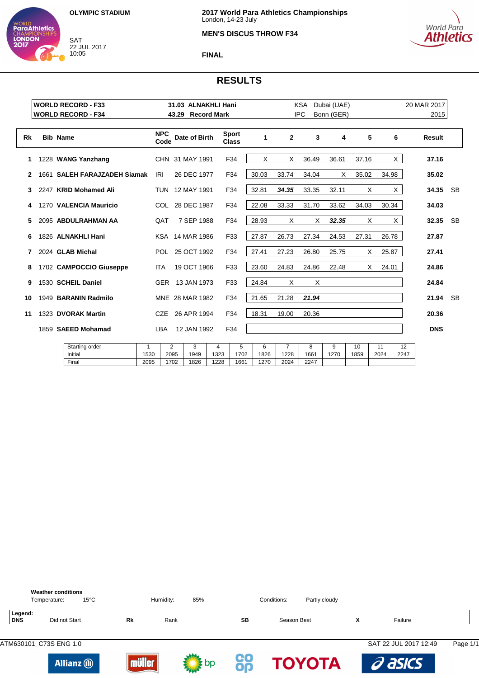SAT 22 JUL 2017 10:05

WORLD<br>**ParaAthletics** 

**LONDON** 



### **MEN'S DISCUS THROW F34**



**FINAL**

|    | <b>WORLD RECORD - F33</b>    | 31.03 ALNAKHLI Hani |                    |                 |                    | KSA                   | Dubai (UAE) |                |            |            | 20 MAR 2017 |            |                |               |           |
|----|------------------------------|---------------------|--------------------|-----------------|--------------------|-----------------------|-------------|----------------|------------|------------|-------------|------------|----------------|---------------|-----------|
|    | <b>WORLD RECORD - F34</b>    |                     | 43.29              |                 | <b>Record Mark</b> |                       |             |                | <b>IPC</b> | Bonn (GER) |             |            |                | 2015          |           |
|    |                              |                     |                    |                 |                    |                       |             |                |            |            |             |            |                |               |           |
| Rk | <b>Bib Name</b>              |                     | <b>NPC</b><br>Code | Date of Birth   |                    | Sport<br><b>Class</b> | 1           | $\overline{2}$ | 3          | 4          | 5           |            | 6              | <b>Result</b> |           |
| 1  | 1228 WANG Yanzhang           |                     |                    | CHN 31 MAY 1991 |                    | F34                   | X           | X              | 36.49      | 36.61      | 37.16       |            | X              | 37.16         |           |
| 2  | 1661 SALEH FARAJZADEH Siamak | IRI                 |                    | 26 DEC 1977     |                    | F34                   | 30.03       | 33.74          | 34.04      | X          | 35.02       | 34.98      |                | 35.02         |           |
| 3  | 2247 KRID Mohamed Ali        |                     |                    | TUN 12 MAY 1991 |                    | F34                   | 32.81       | 34.35          | 33.35      | 32.11      | X           |            | $\mathsf{X}^-$ | 34.35         | <b>SB</b> |
| 4  | 1270 VALENCIA Mauricio       |                     |                    | COL 28 DEC 1987 |                    | F34                   | 22.08       | 33.33          | 31.70      | 33.62      | 34.03       | 30.34      |                | 34.03         |           |
| 5  | 2095 ABDULRAHMAN AA          |                     | QAT                | 7 SEP 1988      |                    | F34                   | 28.93       | X              | X          | 32.35      | X           |            | X.             | 32.35         | <b>SB</b> |
| 6  | 1826 ALNAKHLI Hani           |                     |                    | KSA 14 MAR 1986 |                    | F33                   | 27.87       | 26.73          | 27.34      | 24.53      | 27.31       | 26.78      |                | 27.87         |           |
|    | 2024 GLAB Michal             |                     | POL                | 25 OCT 1992     |                    | F34                   | 27.41       | 27.23          | 26.80      | 25.75      | X           | 25.87      |                | 27.41         |           |
| 8  | 1702 CAMPOCCIO Giuseppe      | <b>ITA</b>          |                    | 19 OCT 1966     |                    | F33                   | 23.60       | 24.83          | 24.86      | 22.48      |             | X<br>24.01 |                | 24.86         |           |
| 9  | 1530 SCHEIL Daniel           |                     |                    | GER 13 JAN 1973 |                    | F33                   | 24.84       | Х              | X          |            |             |            |                | 24.84         |           |
| 10 | 1949 BARANIN Radmilo         |                     |                    | MNE 28 MAR 1982 |                    | F34                   | 21.65       | 21.28          | 21.94      |            |             |            |                | 21.94         | <b>SB</b> |
| 11 | 1323 DVORAK Martin           |                     | <b>CZE</b>         | 26 APR 1994     |                    | F34                   | 18.31       | 19.00          | 20.36      |            |             |            |                | 20.36         |           |
|    | 1859 SAEED Mohamad           | <b>LBA</b>          | 12 JAN 1992        |                 | F34                |                       |             |                |            |            |             |            | <b>DNS</b>     |               |           |
|    | Starting order               | $\mathbf 1$         | $\overline{2}$     | 3               | 4                  | 5                     | 6           | $\overline{7}$ | 8          | 9          | 10          | 11         | 12             |               |           |
|    | Initial                      | 1530                | 2095               | 1949            | 1323               | 1702                  | 1826        | 1228           | 1661       | 1270       | 1859        | 2024       | 2247           |               |           |
|    | Final                        | 2095                | 1702               | 1826            | 1228               | 1661                  | 1270        | 2024           | 2247       |            |             |            |                |               |           |

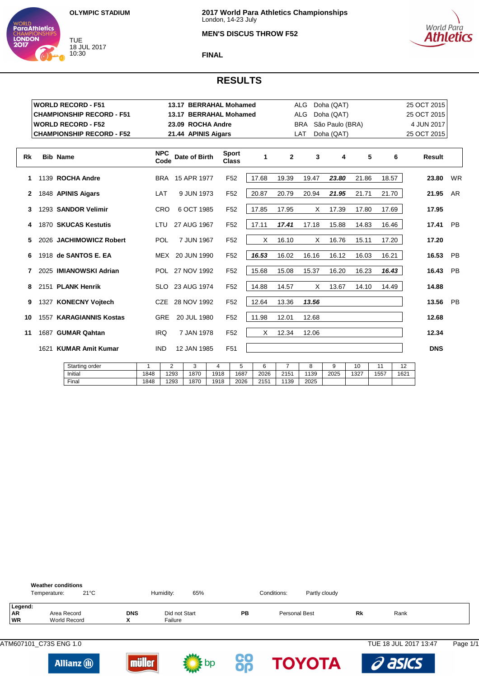

**LONDON** 

### **MEN'S DISCUS THROW F52**



#### **FINAL**

|    |      | <b>WORLD RECORD - F51</b>        |                    | 13.17 BERRAHAL Mohamed |                              |       |              | <b>ALG</b> | Doha (QAT)      |       |       | 25 OCT 2015 |           |
|----|------|----------------------------------|--------------------|------------------------|------------------------------|-------|--------------|------------|-----------------|-------|-------|-------------|-----------|
|    |      | <b>CHAMPIONSHIP RECORD - F51</b> |                    | 13.17 BERRAHAL Mohamed |                              |       |              | ALG        | Doha (QAT)      |       |       | 25 OCT 2015 |           |
|    |      | <b>WORLD RECORD - F52</b>        |                    | 23.09 ROCHA Andre      |                              |       |              | <b>BRA</b> | São Paulo (BRA) |       |       | 4 JUN 2017  |           |
|    |      | <b>CHAMPIONSHIP RECORD - F52</b> |                    | 21.44 APINIS Aigars    |                              |       |              | LAT        | Doha (QAT)      |       |       | 25 OCT 2015 |           |
|    |      |                                  |                    |                        |                              |       |              |            |                 |       |       |             |           |
| Rk |      | <b>Bib Name</b>                  | <b>NPC</b><br>Code | Date of Birth          | <b>Sport</b><br><b>Class</b> | 1     | $\mathbf{2}$ |            | 3<br>4          | 5     | 6     | Result      |           |
| 1  |      | 1139 ROCHA Andre                 |                    | BRA 15 APR 1977        | F <sub>52</sub>              | 17.68 | 19.39        | 19.47      | 23.80           | 21.86 | 18.57 | 23.80       | <b>WR</b> |
| 2  |      | 1848 APINIS Aigars               | LAT                | 9 JUN 1973             | F <sub>52</sub>              | 20.87 | 20.79        | 20.94      | 21.95           | 21.71 | 21.70 | 21.95       | AR        |
| 3  |      | 1293 SANDOR Velimir              | <b>CRO</b>         | 6 OCT 1985             | F <sub>52</sub>              | 17.85 | 17.95        |            | X<br>17.39      | 17.80 | 17.69 | 17.95       |           |
| 4  |      | 1870 SKUCAS Kestutis             | LTU                | 27 AUG 1967            | F <sub>52</sub>              | 17.11 | 17.41        | 17.18      | 15.88           | 14.83 | 16.46 | 17.41       | PB        |
| 5. |      | 2026 JACHIMOWICZ Robert          | POL                | 7 JUN 1967             | F <sub>52</sub>              | X     | 16.10        |            | X<br>16.76      | 15.11 | 17.20 | 17.20       |           |
| 6  |      | 1918 de SANTOS E. EA             |                    | MEX 20 JUN 1990        | F <sub>52</sub>              | 16.53 | 16.02        | 16.16      | 16.12           | 16.03 | 16.21 | 16.53       | <b>PB</b> |
| 7  |      | 2025 IMIANOWSKI Adrian           |                    | POL 27 NOV 1992        | F <sub>52</sub>              | 15.68 | 15.08        | 15.37      | 16.20           | 16.23 | 16.43 | 16.43       | PB        |
| 8  |      | 2151 PLANK Henrik                | SLO.               | 23 AUG 1974            | F <sub>52</sub>              | 14.88 | 14.57        |            | Χ<br>13.67      | 14.10 | 14.49 | 14.88       |           |
| 9  |      | 1327 KONECNY Voitech             | <b>CZE</b>         | 28 NOV 1992            | F <sub>52</sub>              | 12.64 | 13.36        | 13.56      |                 |       |       | 13.56       | PB        |
| 10 |      | 1557 KARAGIANNIS Kostas          | <b>GRE</b>         | 20 JUL 1980            | F <sub>52</sub>              | 11.98 | 12.01        | 12.68      |                 |       |       | 12.68       |           |
| 11 |      | 1687 GUMAR Qahtan                | <b>IRQ</b>         | 7 JAN 1978             | F <sub>52</sub>              | Χ     | 12.34        | 12.06      |                 |       |       | 12.34       |           |
|    | 1621 | <b>KUMAR Amit Kumar</b>          | <b>IND</b>         | 12 JAN 1985            | F <sub>51</sub>              |       |              |            |                 |       |       | <b>DNS</b>  |           |
|    |      |                                  |                    |                        |                              |       |              |            |                 |       |       |             |           |

| Starting order |      | ∸    |      |      |      |      |      |      |      | 10   |     | . .  |
|----------------|------|------|------|------|------|------|------|------|------|------|-----|------|
| Initial        | 1848 | 1293 | 1870 | 1918 | 1687 | 2026 | 2151 | 139  | 2025 | 1327 | 557 | 1621 |
| Final          | 1848 | 1293 | 1870 | 1918 | 2026 | 2151 | 1139 | 2025 |      |      |     |      |

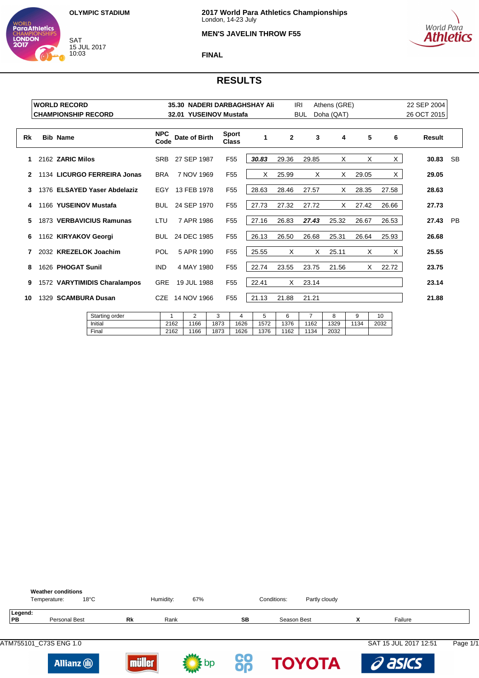SAT 15 JUL 2017 10:03

WORLD<br>**ParaAthletics** 

**CHAMPION**<br>**LONDON** 

Final



## **MEN'S JAVELIN THROW F55**



### **FINAL**

|    | <b>WORLD RECORD</b><br><b>CHAMPIONSHIP RECORD</b> |                              |                    | 32.01 YUSEINOV Mustafa |      |                              | 35.30 NADERI DARBAGHSHAY Ali |              | <b>IRI</b><br><b>BUL</b> | Athens (GRE)<br>Doha (QAT) |       |          | 22 SEP 2004<br>26 OCT 2015 |    |
|----|---------------------------------------------------|------------------------------|--------------------|------------------------|------|------------------------------|------------------------------|--------------|--------------------------|----------------------------|-------|----------|----------------------------|----|
|    |                                                   |                              |                    |                        |      |                              |                              |              |                          |                            |       |          |                            |    |
| Rk | <b>Bib Name</b>                                   |                              | <b>NPC</b><br>Code | Date of Birth          |      | <b>Sport</b><br><b>Class</b> | 1                            | $\mathbf{2}$ | 3                        | 4                          | 5     | 6        | Result                     |    |
| 1  | 2162 ZARIC Milos                                  |                              | <b>SRB</b>         | 27 SEP 1987            |      | F <sub>55</sub>              | 30.83                        | 29.36        | 29.85                    | Χ                          | X     | $\times$ | 30.83                      | SB |
| 2  |                                                   | 1134 LICURGO FERREIRA Jonas  | <b>BRA</b>         | 7 NOV 1969             |      | F <sub>55</sub>              | X                            | 25.99        | X                        | X                          | 29.05 | X.       | 29.05                      |    |
| 3  |                                                   | 1376 ELSAYED Yaser Abdelaziz | EGY                | 13 FEB 1978            |      | F <sub>55</sub>              | 28.63                        | 28.46        | 27.57                    | X                          | 28.35 | 27.58    | 28.63                      |    |
| 4  |                                                   | 1166 YUSEINOV Mustafa        | <b>BUL</b>         | 24 SEP 1970            |      | F <sub>55</sub>              | 27.73                        | 27.32        | 27.72                    | X                          | 27.42 | 26.66    | 27.73                      |    |
| 5  |                                                   | 1873 VERBAVICIUS Ramunas     | LTU                | 7 APR 1986             |      | F <sub>55</sub>              | 27.16                        | 26.83        | 27.43                    | 25.32                      | 26.67 | 26.53    | 27.43                      | PB |
| 6  | 1162 KIRYAKOV Georgi                              |                              |                    | BUL 24 DEC 1985        |      | F <sub>55</sub>              | 26.13                        | 26.50        | 26.68                    | 25.31                      | 26.64 | 25.93    | 26.68                      |    |
|    |                                                   | 2032 KREZELOK Joachim        | POL                | 5 APR 1990             |      | F <sub>55</sub>              | 25.55                        | X            | X                        | 25.11                      | X     | $\times$ | 25.55                      |    |
| 8  | 1626 PHOGAT Sunil                                 |                              | <b>IND</b>         | 4 MAY 1980             |      | F <sub>55</sub>              | 22.74                        | 23.55        | 23.75                    | 21.56                      | X.    | 22.72    | 23.75                      |    |
| 9  |                                                   | 1572 VARYTIMIDIS Charalampos | <b>GRE</b>         | 19 JUL 1988            |      | F <sub>55</sub>              | 22.41                        | X            | 23.14                    |                            |       |          | 23.14                      |    |
| 10 | 1329 SCAMBURA Dusan                               |                              |                    | CZE 14 NOV 1966        |      | F <sub>55</sub>              | 21.13                        | 21.88        | 21.21                    |                            |       |          | 21.88                      |    |
|    |                                                   | Starting order               | 1                  | 2                      | 3    | 4                            | 5                            | 6            | $\overline{7}$           | 8                          | 9     | 10       |                            |    |
|    |                                                   | Initial                      | 2162               | 1166                   | 1873 | 1626                         | 1572                         | 1376         | 1162                     | 1329                       | 1134  | 2032     |                            |    |

|               | <b>Weather conditions</b><br>$18^{\circ}$ C<br>Temperature: |           | Humidity: | 67%  |    | Conditions: | Partly cloudy |   |                       |          |
|---------------|-------------------------------------------------------------|-----------|-----------|------|----|-------------|---------------|---|-----------------------|----------|
| Legend:<br>PB | <b>Personal Best</b>                                        | <b>Rk</b> | Rank      |      | SB | Season Best |               | x | Failure               |          |
|               |                                                             |           |           |      |    |             |               |   | SAT 15 JUL 2017 12:51 | Page 1/1 |
|               | <b>Allianz</b> (i)                                          | iüller    |           | ∵ pp | CO |             | <b>TOYOTA</b> |   | a asics               |          |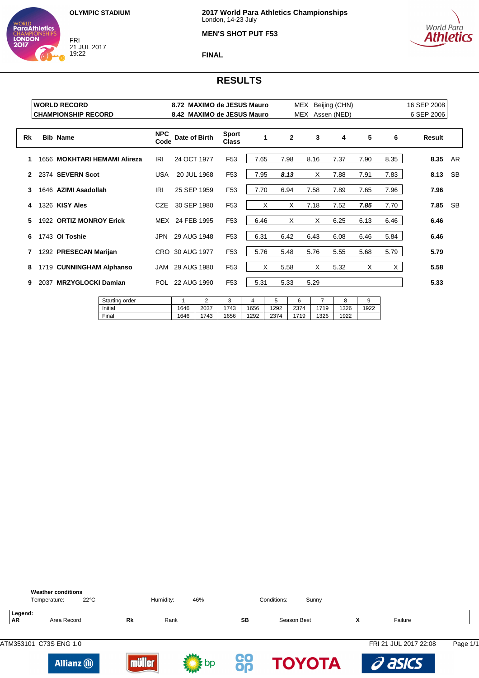FRI 21 JUL 2017 19:22

WORLD<br>**ParaAthletics** 

**CHAMPION**<br>**LONDON** 



## **MEN'S SHOT PUT F53**



### **FINAL**

| 16 SEP 2008<br>6 SEP 2006 |          |      | Beijing (CHN)<br>Assen (NED) | MEX<br>MEX |              |      |                              | 8.72 MAXIMO de JESUS Mauro<br>8.42 MAXIMO de JESUS Mauro |                    | <b>WORLD RECORD</b><br><b>CHAMPIONSHIP RECORD</b> |      |    |
|---------------------------|----------|------|------------------------------|------------|--------------|------|------------------------------|----------------------------------------------------------|--------------------|---------------------------------------------------|------|----|
| Result                    | 6        | 5    | 4                            | 3          | $\mathbf{2}$ | 1    | <b>Sport</b><br><b>Class</b> | Date of Birth                                            | <b>NPC</b><br>Code | <b>Bib Name</b>                                   |      | Rk |
| 8.35<br>AR.               | 8.35     | 7.90 | 7.37                         | 8.16       | 7.98         | 7.65 | F <sub>53</sub>              | 24 OCT 1977                                              | IRI                | 1656 MOKHTARI HEMAMI Alireza                      |      |    |
| 8.13<br><b>SB</b>         | 7.83     | 7.91 | 7.88                         | X          | 8.13         | 7.95 | F <sub>53</sub>              | 20 JUL 1968                                              | <b>USA</b>         | 2374 SEVERN Scot                                  |      | 2  |
| 7.96                      | 7.96     | 7.65 | 7.89                         | 7.58       | 6.94         | 7.70 | F <sub>53</sub>              | 25 SEP 1959                                              | IRI                | 1646 AZIMI Asadollah                              |      | 3  |
| 7.85<br><b>SB</b>         | 7.70     | 7.85 | 7.52                         | 7.18       | X            | X    | F <sub>53</sub>              | 30 SEP 1980                                              | <b>CZE</b>         | 1326 KISY Ales                                    |      | 4  |
| 6.46                      | 6.46     | 6.13 | 6.25                         | X          | X            | 6.46 | F <sub>53</sub>              | MEX 24 FEB 1995                                          |                    | 1922 ORTIZ MONROY Erick                           |      | 5  |
| 6.46                      | 5.84     | 6.46 | 6.08                         | 6.43       | 6.42         | 6.31 | F <sub>53</sub>              | 29 AUG 1948                                              | <b>JPN</b>         | 1743 OI Toshie                                    |      | 6  |
| 5.79                      | 5.79     | 5.68 | 5.55                         | 5.76       | 5.48         | 5.76 | F <sub>53</sub>              | CRO 30 AUG 1977                                          |                    | 1292 PRESECAN Marijan                             |      | 7  |
| 5.58                      | $\times$ | X    | 5.32                         | X          | 5.58         | X    | F <sub>53</sub>              | 29 AUG 1980                                              | JAM                | 1719 CUNNINGHAM Alphanso                          |      | 8  |
| 5.33                      |          |      |                              | 5.29       | 5.33         | 5.31 | F <sub>53</sub>              | POL 22 AUG 1990                                          |                    | <b>MRZYGLOCKI Damian</b>                          | 2037 | 9  |
|                           |          |      |                              |            |              |      |                              |                                                          |                    |                                                   |      |    |

| Starting order |      | $\sqrt{2}$<br>∼ | $\sqrt{2}$<br>$\overline{\phantom{a}}$ |      |      |      |      |      | У    |
|----------------|------|-----------------|----------------------------------------|------|------|------|------|------|------|
| Initial        | 1646 | 2037            | 743                                    | 1656 | 1292 | 2374 | 1719 | 1326 | 1922 |
| Final          | 1646 | 1743            | 656                                    | 1292 | 2374 | '719 | 1326 | 1922 |      |
|                |      |                 |                                        |      |      |      |      |      |      |

|                      | <b>Weather conditions</b><br>Temperature: | $22^{\circ}$ C      |              | Humidity: | 46%  |          | Conditions:<br>Sunny |   |                       |          |
|----------------------|-------------------------------------------|---------------------|--------------|-----------|------|----------|----------------------|---|-----------------------|----------|
| Legend:<br><b>AR</b> | Area Record                               |                     | Rk           | Rank      |      | SB       | Season Best          | X | Failure               |          |
|                      |                                           |                     |              |           |      |          |                      |   | FRI 21 JUL 2017 22:08 | Page 1/1 |
|                      |                                           | <b>Allianz</b> (ii) | 99<br>iiller |           | : bp | CO<br>OQ | <b>TOYOTA</b>        |   | a asics               |          |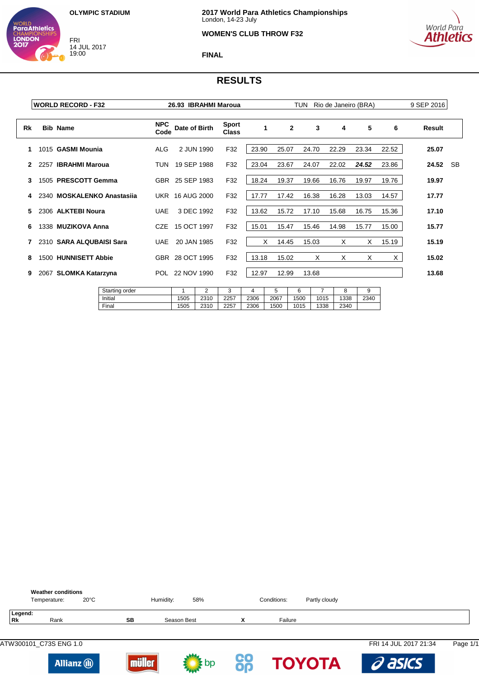FRI 14 JUL 2017 19:00

WORLD<br>**ParaAthletics** 

**CHAMPION**<br>**LONDON** 

# **WOMEN'S CLUB THROW F32**



**FINAL**

|    |      | <b>WORLD RECORD - F32</b>  |                    | 26.93 IBRAHMI Maroua   |                |       |              | TUN   | Rio de Janeiro (BRA) |       |       | 9 SEP 2016 |  |
|----|------|----------------------------|--------------------|------------------------|----------------|-------|--------------|-------|----------------------|-------|-------|------------|--|
| Rk |      | <b>Bib Name</b>            | <b>NPC</b><br>Code | Date of Birth          | Sport<br>Class | 1     | $\mathbf{2}$ | 3     | 4                    | 5     | 6     | Result     |  |
| 1  |      | 1015 GASMI Mounia          | ALG                | 2 JUN 1990             | F32            | 23.90 | 25.07        | 24.70 | 22.29                | 23.34 | 22.52 | 25.07      |  |
|    | 2257 | <b>IBRAHMI Maroua</b>      | TUN                | 19 SEP 1988            | F32            | 23.04 | 23.67        | 24.07 | 22.02                | 24.52 | 23.86 | 24.52 SB   |  |
| 3  |      | 1505 PRESCOTT Gemma        |                    | GBR 25 SEP 1983        | F32            | 18.24 | 19.37        | 19.66 | 16.76                | 19.97 | 19.76 | 19.97      |  |
| 4  |      | 2340 MOSKALENKO Anastasija |                    | <b>UKR 16 AUG 2000</b> | F32            | 17.77 | 17.42        | 16.38 | 16.28                | 13.03 | 14.57 | 17.77      |  |
| 5. |      | 2306 ALKTEBI Noura         | <b>UAE</b>         | 3 DEC 1992             | F32            | 13.62 | 15.72        | 17.10 | 15.68                | 16.75 | 15.36 | 17.10      |  |
| 6  |      | 1338 MUZIKOVA Anna         |                    | CZE 15 OCT 1997        | F32            | 15.01 | 15.47        | 15.46 | 14.98                | 15.77 | 15.00 | 15.77      |  |
|    |      | 2310 SARA ALQUBAISI Sara   | UAE                | 20 JAN 1985            | F32            | X     | 14.45        | 15.03 | X                    | X     | 15.19 | 15.19      |  |
| 8  |      | 1500 HUNNISETT Abbie       |                    | GBR 28 OCT 1995        | F32            | 13.18 | 15.02        | X     | X                    | X     | X     | 15.02      |  |
| 9  | 2067 | <b>SLOMKA Katarzyna</b>    |                    | POL 22 NOV 1990        | F32            | 12.97 | 12.99        | 13.68 |                      |       |       | 13.68      |  |

| Starting order |      | ∸    | u    |      |      |      |      |      |      |
|----------------|------|------|------|------|------|------|------|------|------|
| Initial        | 1505 | 2310 | 2257 | 2306 | 2067 | 1500 | 1015 | 1338 | 2340 |
| Final          | 1505 | 2310 | 2257 | 2306 | 1500 | 1015 | 1338 | 2340 |      |

|                      | <b>Weather conditions</b><br>Temperature: | $20^{\circ}$ C |        | Humidity:   | 58%  |                 | Conditions: | Partly cloudy |                       |          |
|----------------------|-------------------------------------------|----------------|--------|-------------|------|-----------------|-------------|---------------|-----------------------|----------|
| Legend:<br><b>Rk</b> | Rank                                      |                | SB     | Season Best |      | х               | Failure     |               |                       |          |
|                      | ATW300101_C73S ENG 1.0                    |                |        |             |      |                 |             |               | FRI 14 JUL 2017 21:34 | Page 1/1 |
|                      | <b>Allianz</b> (ii)                       |                | hüller |             | ≵ bp | <b>CO</b><br>00 |             | <b>TOYOTA</b> | a asics               |          |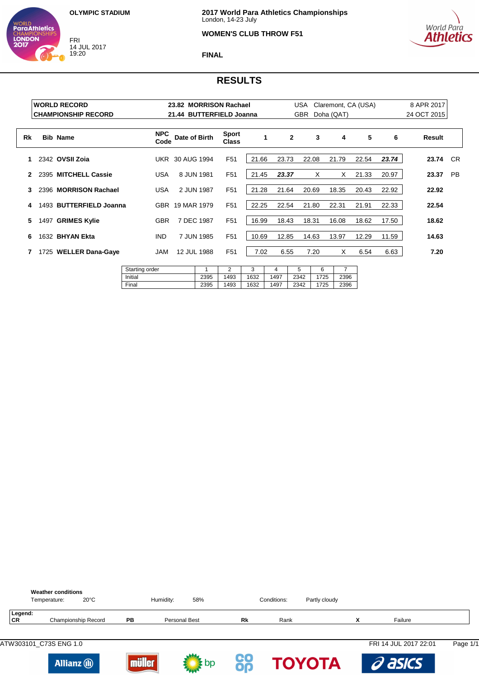FRI 14 JUL 2017 19:20

WORLD<br>**ParaAthletics** 

**LONDON** 



### **WOMEN'S CLUB THROW F51**



**FINAL**

|                  |      | <b>WORLD RECORD</b>        |                    | 23.82 MORRISON Rachael   |                              |       |                | USA        | Claremont, CA (USA) |       |       | 8 APR 2017  |           |
|------------------|------|----------------------------|--------------------|--------------------------|------------------------------|-------|----------------|------------|---------------------|-------|-------|-------------|-----------|
|                  |      | <b>CHAMPIONSHIP RECORD</b> |                    | 21.44 BUTTERFIELD Joanna |                              |       |                | <b>GBR</b> | Doha (QAT)          |       |       | 24 OCT 2015 |           |
| Rk               |      | <b>Bib Name</b>            | <b>NPC</b><br>Code | Date of Birth            | <b>Sport</b><br><b>Class</b> | 1     | $\overline{2}$ | 3          | 4                   | 5     | 6     | Result      |           |
| 1                |      | 2342 OVSII Zoia            |                    | <b>UKR 30 AUG 1994</b>   | F <sub>51</sub>              | 21.66 | 23.73          | 22.08      | 21.79               | 22.54 | 23.74 | 23.74 CR    |           |
| $\boldsymbol{c}$ |      | 2395 MITCHELL Cassie       | USA                | 8 JUN 1981               | F <sub>51</sub>              | 21.45 | 23.37          | X          | X                   | 21.33 | 20.97 | 23.37       | <b>PB</b> |
| 3                |      | 2396 MORRISON Rachael      | <b>USA</b>         | 2 JUN 1987               | F <sub>51</sub>              | 21.28 | 21.64          | 20.69      | 18.35               | 20.43 | 22.92 | 22.92       |           |
| 4                |      | 1493 BUTTERFIELD Joanna    |                    | GBR 19 MAR 1979          | F <sub>51</sub>              | 22.25 | 22.54          | 21.80      | 22.31               | 21.91 | 22.33 | 22.54       |           |
| 5.               | 1497 | <b>GRIMES Kylie</b>        | <b>GBR</b>         | 7 DEC 1987               | F <sub>51</sub>              | 16.99 | 18.43          | 18.31      | 16.08               | 18.62 | 17.50 | 18.62       |           |
| 6                |      | 1632 BHYAN Ekta            | <b>IND</b>         | 7 JUN 1985               | F <sub>51</sub>              | 10.69 | 12.85          | 14.63      | 13.97               | 12.29 | 11.59 | 14.63       |           |
|                  |      | 1725 WELLER Dana-Gaye      | <b>JAM</b>         | 12 JUL 1988              | F <sub>51</sub>              | 7.02  | 6.55           | 7.20       | X                   | 6.54  | 6.63  | 7.20        |           |
|                  |      |                            |                    |                          |                              |       |                |            |                     |       |       |             |           |

| Starting order |      |      |      |      | -<br>u |     |      |
|----------------|------|------|------|------|--------|-----|------|
| Initial        | 2395 | 1493 | 1632 | 1497 | 2342   | 725 | 2396 |
| Final          | 2395 | 1493 | 1632 | 1497 | 2342   | 725 | 2396 |

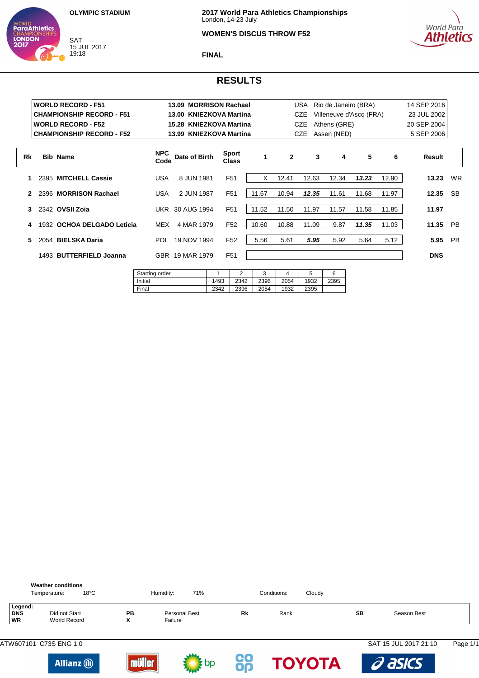

WORLD<br>**ParaAthletics** 

**LONDON** 

### **WOMEN'S DISCUS THROW F52**



**FINAL**

|    |      | <b>WORLD RECORD - F51</b>        |                    | 13.09 MORRISON Rachael  |                       |       |              | USA        | Rio de Janeiro (BRA)    |       |       | 14 SEP 2016 |           |
|----|------|----------------------------------|--------------------|-------------------------|-----------------------|-------|--------------|------------|-------------------------|-------|-------|-------------|-----------|
|    |      | <b>CHAMPIONSHIP RECORD - F51</b> |                    | 13.00 KNIEZKOVA Martina |                       |       |              | <b>CZE</b> | Villeneuve d'Ascq (FRA) |       |       | 23 JUL 2002 |           |
|    |      | <b>IWORLD RECORD - F52</b>       |                    | 15.28 KNIEZKOVA Martina |                       |       |              | <b>CZE</b> | Athens (GRE)            |       |       | 20 SEP 2004 |           |
|    |      | <b>CHAMPIONSHIP RECORD - F52</b> |                    | 13.99 KNIEZKOVA Martina |                       |       |              | CZE.       | Assen (NED)             |       |       | 5 SEP 2006  |           |
|    |      |                                  |                    |                         |                       |       |              |            |                         |       |       |             |           |
| Rk |      | <b>Bib Name</b>                  | <b>NPC</b><br>Code | Date of Birth           | Sport<br><b>Class</b> | 1     | $\mathbf{2}$ | 3          | 4                       | 5     | 6     | Result      |           |
|    |      | 2395 MITCHELL Cassie             | <b>USA</b>         | 8 JUN 1981              | F <sub>51</sub>       | X     | 12.41        | 12.63      | 12.34                   | 13.23 | 12.90 | 13.23       | <b>WR</b> |
| 2  |      | 2396 MORRISON Rachael            | <b>USA</b>         | 2 JUN 1987              | F <sub>51</sub>       | 11.67 | 10.94        | 12.35      | 11.61                   | 11.68 | 11.97 | 12.35       | <b>SB</b> |
| 3. |      | 2342 OVSII Zoja                  |                    | UKR 30 AUG 1994         | F <sub>51</sub>       | 11.52 | 11.50        | 11.97      | 11.57                   | 11.58 | 11.85 | 11.97       |           |
| 4  | 1932 | OCHOA DELGADO Leticia            | <b>MEX</b>         | 4 MAR 1979              | F <sub>52</sub>       | 10.60 | 10.88        | 11.09      | 9.87                    | 11.35 | 11.03 | 11.35       | <b>PB</b> |
| 5. |      | 2054 BIELSKA Daria               | POL.               | 19 NOV 1994             | F <sub>52</sub>       | 5.56  | 5.61         | 5.95       | 5.92                    | 5.64  | 5.12  | 5.95        | <b>PB</b> |
|    |      | 1493 BUTTERFIELD Joanna          |                    | GBR 19 MAR 1979         | F <sub>51</sub>       |       |              |            |                         |       |       | <b>DNS</b>  |           |
|    |      |                                  |                    |                         |                       |       |              |            |                         |       |       |             |           |

| Starting order |      | ⌒    |      |      | w    |      |
|----------------|------|------|------|------|------|------|
| Initial        | 1493 | 2342 | 2396 | 2054 | 1932 | 2395 |
| Final          | 2342 | 2396 | 2054 | 1932 | 2395 |      |

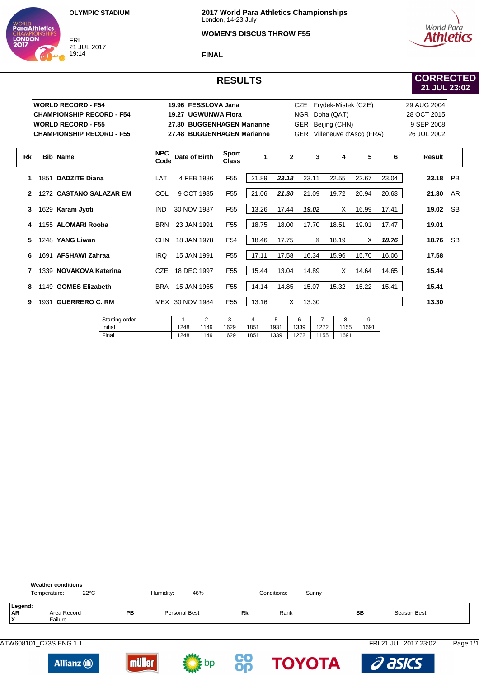**Final** 



**LONDON** 

### **WOMEN'S DISCUS THROW F55**



**FINAL**

# **RESULTS**

# **CORRECTED 21 JUL 23:02**

|    |                | <b>WORLD RECORD - F54</b>        |         |                    | 19.96 FESSLOVA Jana |            |                              |       |       | <b>CZE</b>   |            | Frydek-Mistek (CZE)     |       |       | 29 AUG 2004   |           |
|----|----------------|----------------------------------|---------|--------------------|---------------------|------------|------------------------------|-------|-------|--------------|------------|-------------------------|-------|-------|---------------|-----------|
|    |                | <b>CHAMPIONSHIP RECORD - F54</b> |         |                    |                     |            | 19.27 UGWUNWA Flora          |       |       | <b>NGR</b>   | Doha (QAT) |                         |       |       | 28 OCT 2015   |           |
|    |                | <b>WORLD RECORD - F55</b>        |         |                    |                     |            | 27.80 BUGGENHAGEN Marianne   |       |       | <b>GER</b>   |            | Beijing (CHN)           |       |       | 9 SEP 2008    |           |
|    |                | <b>CHAMPIONSHIP RECORD - F55</b> |         |                    |                     |            | 27.48 BUGGENHAGEN Marianne   |       |       | <b>GER</b>   |            | Villeneuve d'Ascq (FRA) |       |       | 26 JUL 2002   |           |
| Rk |                | <b>Bib Name</b>                  |         | <b>NPC</b><br>Code | Date of Birth       |            | <b>Sport</b><br><b>Class</b> |       | 1     | $\mathbf{2}$ | 3          | 4                       | 5     | 6     | <b>Result</b> |           |
| 1. |                | 1851 DADZITE Diana               |         | LAT                |                     | 4 FEB 1986 | F <sub>55</sub>              | 21.89 | 23.18 |              | 23.11      | 22.55                   | 22.67 | 23.04 | 23.18         | PB        |
| 2  |                | 1272 CASTANO SALAZAR EM          |         | COL                |                     | 9 OCT 1985 | F <sub>55</sub>              | 21.06 | 21.30 |              | 21.09      | 19.72                   | 20.94 | 20.63 | 21.30         | AR        |
| 3  |                | 1629 Karam Jyoti                 |         | <b>IND</b>         | 30 NOV 1987         |            | F <sub>55</sub>              | 13.26 | 17.44 |              | 19.02      | X                       | 16.99 | 17.41 | 19.02         | SB        |
| 4  |                | 1155 ALOMARI Rooba               |         | <b>BRN</b>         | 23 JAN 1991         |            | F <sub>55</sub>              | 18.75 | 18.00 |              | 17.70      | 18.51                   | 19.01 | 17.47 | 19.01         |           |
| 5. |                | 1248 YANG Liwan                  |         |                    | CHN 18 JAN 1978     |            | F <sub>54</sub>              | 18.46 | 17.75 |              | X          | 18.19                   | X     | 18.76 | 18.76         | <b>SB</b> |
| 6  |                | 1691 AFSHAWI Zahraa              |         | <b>IRQ</b>         | 15 JAN 1991         |            | F <sub>55</sub>              | 17.11 | 17.58 |              | 16.34      | 15.96                   | 15.70 | 16.06 | 17.58         |           |
| 7  |                | 1339 NOVAKOVA Katerina           |         | <b>CZE</b>         | 18 DEC 1997         |            | F <sub>55</sub>              | 15.44 | 13.04 |              | 14.89      | X                       | 14.64 | 14.65 | 15.44         |           |
| 8  |                | 1149 GOMES Elizabeth             |         | <b>BRA</b>         | 15 JAN 1965         |            | F <sub>55</sub>              | 14.14 | 14.85 |              | 15.07      | 15.32                   | 15.22 | 15.41 | 15.41         |           |
| 9  |                | 1931 GUERRERO C. RM              |         |                    | MEX 30 NOV 1984     |            | F <sub>55</sub>              | 13.16 |       | X            | 13.30      |                         |       |       | 13.30         |           |
|    | Starting order |                                  |         |                    | 1                   | 2          | 3                            | 4     | 5     | 6            | 7          | 8                       | 9     |       |               |           |
|    |                |                                  | Initial |                    | 1248                | 1149       | 1629                         | 1851  | 1931  | 1339         | 1272       | 1155                    | 1691  |       |               |           |

|                           | <b>Weather conditions</b><br>$22^{\circ}$ C<br>Temperature: |           | Humidity:            | 46% |    | Conditions: | Sunny |    |                       |          |
|---------------------------|-------------------------------------------------------------|-----------|----------------------|-----|----|-------------|-------|----|-----------------------|----------|
| Legend:<br><b>AR</b><br>x | Area Record<br>Failure                                      | <b>PB</b> | <b>Personal Best</b> |     | Rk | Rank        |       | SВ | Season Best           |          |
|                           |                                                             |           |                      |     |    |             |       |    | FRI 21 JUL 2017 23:02 | Page 1/1 |







1248

1149 1629

1851 1339

1272

1155

1691



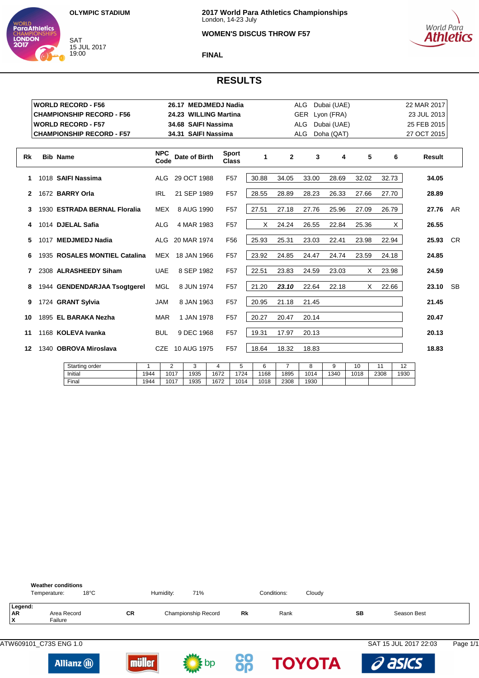

WORLD<br>**ParaAthletics** 

**LONDON** 

### **WOMEN'S DISCUS THROW F57**



#### **FINAL**

## **RESULTS**

|    | <b>WORLD RECORD - F56</b>        |                    | 26.17 MEDJMEDJ Nadia  |                              |       |              | ALG        | Dubai (UAE) |       |       | 22 MAR 2017   |           |
|----|----------------------------------|--------------------|-----------------------|------------------------------|-------|--------------|------------|-------------|-------|-------|---------------|-----------|
|    | <b>CHAMPIONSHIP RECORD - F56</b> |                    | 24.23 WILLING Martina |                              |       |              | <b>GER</b> | Lyon (FRA)  |       |       | 23 JUL 2013   |           |
|    | <b>WORLD RECORD - F57</b>        |                    | 34.68 SAIFI Nassima   |                              |       |              | ALG        | Dubai (UAE) |       |       | 25 FEB 2015   |           |
|    | <b>CHAMPIONSHIP RECORD - F57</b> |                    | 34.31 SAIFI Nassima   |                              |       |              | <b>ALG</b> | Doha (QAT)  |       |       | 27 OCT 2015   |           |
| Rk | <b>Bib Name</b>                  | <b>NPC</b><br>Code | Date of Birth         | <b>Sport</b><br><b>Class</b> | 1     | $\mathbf{2}$ | 3          | 4           | 5     | 6     | <b>Result</b> |           |
| 1  | 1018 SAIFI Nassima               | <b>ALG</b>         | 29 OCT 1988           | F <sub>57</sub>              | 30.88 | 34.05        | 33.00      | 28.69       | 32.02 | 32.73 | 34.05         |           |
| 2  | 1672 BARRY Orla                  | <b>IRL</b>         | 21 SEP 1989           | F <sub>57</sub>              | 28.55 | 28.89        | 28.23      | 26.33       | 27.66 | 27.70 | 28.89         |           |
| 3. | 1930 ESTRADA BERNAL Floralia     | MEX                | 8 AUG 1990            | F <sub>57</sub>              | 27.51 | 27.18        | 27.76      | 25.96       | 27.09 | 26.79 | 27.76         | AR.       |
| 4  | 1014 DJELAL Safia                | <b>ALG</b>         | 4 MAR 1983            | F <sub>57</sub>              | X     | 24.24        | 26.55      | 22.84       | 25.36 | X     | 26.55         |           |
| 5. | 1017 MEDJMEDJ Nadia              |                    | ALG 20 MAR 1974       | F <sub>56</sub>              | 25.93 | 25.31        | 23.03      | 22.41       | 23.98 | 22.94 | 25.93         | <b>CR</b> |
| 6  | 1935 ROSALES MONTIEL Catalina    |                    | MEX 18 JAN 1966       | F <sub>57</sub>              | 23.92 | 24.85        | 24.47      | 24.74       | 23.59 | 24.18 | 24.85         |           |
| 7  | 2308 ALRASHEEDY Siham            | <b>UAE</b>         | 8 SEP 1982            | F <sub>57</sub>              | 22.51 | 23.83        | 24.59      | 23.03       | X     | 23.98 | 24.59         |           |
| 8  | 1944 GENDENDARJAA Tsogtgerel     | <b>MGL</b>         | 8 JUN 1974            | F <sub>57</sub>              | 21.20 | 23.10        | 22.64      | 22.18       | X     | 22.66 | 23.10         | <b>SB</b> |
| 9  | 1724 GRANT Sylvia                | <b>JAM</b>         | 8 JAN 1963            | F <sub>57</sub>              | 20.95 | 21.18        | 21.45      |             |       |       | 21.45         |           |
| 10 | 1895 EL BARAKA Nezha             | <b>MAR</b>         | 1 JAN 1978            | F <sub>57</sub>              | 20.27 | 20.47        | 20.14      |             |       |       | 20.47         |           |
| 11 | 1168 KOLEVA Ivanka               | <b>BUL</b>         | 9 DEC 1968            | F <sub>57</sub>              | 19.31 | 17.97        | 20.13      |             |       |       | 20.13         |           |
| 12 | 1340 OBROVA Miroslava            | CZE                | 10 AUG 1975           | F <sub>57</sub>              | 18.64 | 18.32        | 18.83      |             |       |       | 18.83         |           |
|    |                                  |                    |                       |                              |       |              |            |             |       |       |               |           |

| Starting order |      | -    |      |      |      |      |      |      |      | $\overline{ }$<br>ັ |      | . .  |
|----------------|------|------|------|------|------|------|------|------|------|---------------------|------|------|
| Initia         | 944  | 1017 | 1935 | 1672 | 1724 | 1168 | 1895 | 1014 | 1340 | 1018                | 2308 | 1930 |
| Final          | 1944 | 1017 | 1935 | 1672 | 1014 | 1018 | 2308 | 1930 |      |                     |      |      |



**CO TOYOTA** 

asics



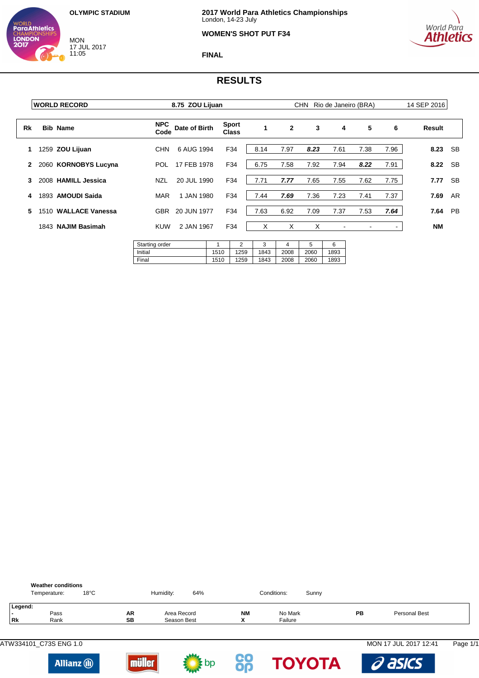MON 17 JUL 2017 11:05

WORLD<br>**ParaAthletics** 

**CHAMPION**<br>**LONDON**<br>**2017** 



#### **WOMEN'S SHOT PUT F34**



**FINAL**

|              | <b>WORLD RECORD</b>  |                                    | 8.75 ZOU Lijuan |              |                              |                   |                   |                   | CHN Rio de Janeiro (BRA) |      |      | 14 SEP 2016 |           |
|--------------|----------------------|------------------------------------|-----------------|--------------|------------------------------|-------------------|-------------------|-------------------|--------------------------|------|------|-------------|-----------|
| Rk           | <b>Bib Name</b>      | <b>NPC</b><br>Code                 | Date of Birth   |              | <b>Sport</b><br><b>Class</b> |                   | $\mathbf{2}$      | 3                 | 4                        | 5    | 6    | Result      |           |
| 1            | 1259 ZOU Lijuan      | <b>CHN</b>                         | 6 AUG 1994      |              | F34                          | 8.14              | 7.97              | 8.23              | 7.61                     | 7.38 | 7.96 | 8.23 SB     |           |
| $\mathbf{2}$ | 2060 KORNOBYS Lucyna | POL.                               | 17 FEB 1978     |              | F34                          | 6.75              | 7.58              | 7.92              | 7.94                     | 8.22 | 7.91 | 8.22        | <b>SB</b> |
| 3            | 2008 HAMILL Jessica  | <b>NZL</b>                         | 20 JUL 1990     |              | F34                          | 7.71              | 7.77              | 7.65              | 7.55                     | 7.62 | 7.75 | 7.77        | <b>SB</b> |
| 4            | 1893 AMOUDI Saida    | MAR                                | 1 JAN 1980      |              | F34                          | 7.44              | 7.69              | 7.36              | 7.23                     | 7.41 | 7.37 | 7.69        | AR        |
| 5            | 1510 WALLACE Vanessa | GBR                                | 20 JUN 1977     |              | F34                          | 7.63              | 6.92              | 7.09              | 7.37                     | 7.53 | 7.64 | 7.64        | PB        |
|              | 1843 NAJIM Basimah   | <b>KUW</b>                         | 2 JAN 1967      |              | F34                          | X                 | X                 | X                 | $\blacksquare$           |      | ۰    | NM          |           |
|              |                      | Starting order<br>Initial<br>Final |                 | 1510<br>1510 | 2<br>1259<br>1259            | 3<br>1843<br>1843 | 4<br>2008<br>2008 | 5<br>2060<br>2060 | 6<br>1893<br>1893        |      |      |             |           |



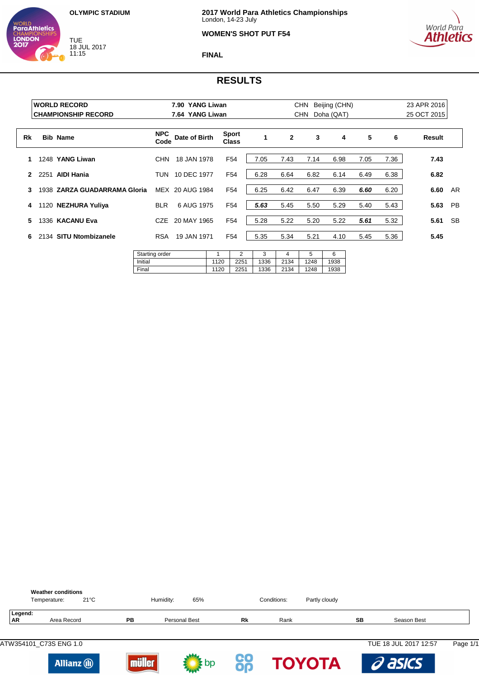TUE 18 JUL 2017 11:15

WORLD<br>**ParaAthletics** 

**LONDON** 



### **WOMEN'S SHOT PUT F54**



**FINAL**

|                  | <b>WORLD RECORD</b><br><b>CHAMPIONSHIP RECORD</b> |                         |                                           | 7.90 YANG Liwan<br>7.64 YANG Liwan |                       |      | CHN<br>Beijing (CHN)<br>Doha (QAT)<br>CHN |      |      |      |      | 23 APR 2016<br>25 OCT 2015 |           |  |
|------------------|---------------------------------------------------|-------------------------|-------------------------------------------|------------------------------------|-----------------------|------|-------------------------------------------|------|------|------|------|----------------------------|-----------|--|
| Rk               |                                                   | <b>Bib Name</b>         | <b>NPC</b><br>Code                        | Date of Birth                      | Sport<br><b>Class</b> | 1    | $\mathbf{2}$                              | 3    | 4    | 5    | 6    | Result                     |           |  |
| 1                |                                                   | 1248 YANG Liwan         | <b>CHN</b>                                | 18 JAN 1978                        | F <sub>54</sub>       | 7.05 | 7.43                                      | 7.14 | 6.98 | 7.05 | 7.36 | 7.43                       |           |  |
| $\boldsymbol{c}$ | 2251                                              | <b>AIDI Hania</b>       | TUN                                       | 10 DEC 1977                        | F <sub>54</sub>       | 6.28 | 6.64                                      | 6.82 | 6.14 | 6.49 | 6.38 | 6.82                       |           |  |
| 3                | 1938                                              | ZARZA GUADARRAMA Gloria |                                           | MEX 20 AUG 1984                    | F <sub>54</sub>       | 6.25 | 6.42                                      | 6.47 | 6.39 | 6.60 | 6.20 | 6.60                       | AR        |  |
| 4                |                                                   | 1120 NEZHURA Yuliya     | <b>BLR</b>                                | 6 AUG 1975                         | F <sub>54</sub>       | 5.63 | 5.45                                      | 5.50 | 5.29 | 5.40 | 5.43 | 5.63                       | <b>PB</b> |  |
| 5.               |                                                   | 1336 KACANU Eva         | <b>CZE</b>                                | 20 MAY 1965                        | F <sub>54</sub>       | 5.28 | 5.22                                      | 5.20 | 5.22 | 5.61 | 5.32 | 5.61                       | <b>SB</b> |  |
| 6                |                                                   | 2134 SITU Ntombizanele  | <b>RSA</b><br>$\sim$ $\sim$ $\sim$ $\sim$ | 19 JAN 1971                        | F <sub>54</sub>       | 5.35 | 5.34                                      | 5.21 | 4.10 | 5.45 | 5.36 | 5.45                       |           |  |

| Starting order |      |      |      |      | ັ    |      |
|----------------|------|------|------|------|------|------|
| Initial        | 1120 | 2251 | 1336 | 2134 | 1248 | 1938 |
| Final          | 1120 | 2251 | 1336 | 2134 | 1248 | 1938 |